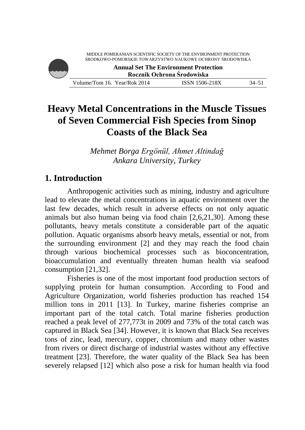**Annual Set The Environment Protection Rocznik Ochrona Środowiska**

Volume/Tom 16. Year/Rok 2014 ISSN 1506-218X 34–51

# **Heavy Metal Concentrations in the Muscle Tissues of Seven Commercial Fish Species from Sinop Coasts of the Black Sea**

*Mehmet Borga Ergönül, Ahmet Altindağ Ankara University, Turkey*

# **1. Introduction**

Anthropogenic activities such as mining, industry and agriculture lead to elevate the metal concentrations in aquatic environment over the last few decades, which result in adverse effects on not only aquatic animals but also human being via food chain [2,6,21,30]. Among these pollutants, heavy metals constitute a considerable part of the aquatic pollution. Aquatic organisms absorb heavy metals, essential or not, from the surrounding environment [2] and they may reach the food chain through various biochemical processes such as bioconcentration, bioaccumulation and eventually threaten human health via seafood consumption [21,32].

Fisheries is one of the most important food production sectors of supplying protein for human consumption. According to Food and Agriculture Organization, world fisheries production has reached 154 million tons in 2011 [13]. In Turkey, marine fisheries comprise an important part of the total catch. Total marine fisheries production reached a peak level of 277,773t in 2009 and 73% of the total catch was captured in Black Sea [34]. However, it is known that Black Sea receives tons of zinc, lead, mercury, copper, chromium and many other wastes from rivers or direct discharge of industrial wastes without any effective treatment [23]. Therefore, the water quality of the Black Sea has been severely relapsed [12] which also pose a risk for human health via food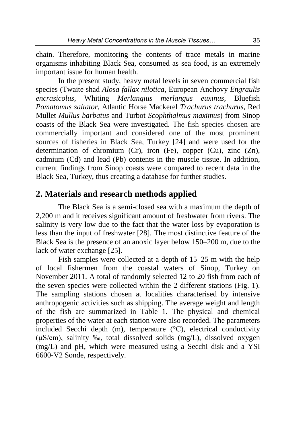chain. Therefore, monitoring the contents of trace metals in marine organisms inhabiting Black Sea, consumed as sea food, is an extremely important issue for human health.

In the present study, heavy metal levels in seven commercial fish species (Twaite shad *Alosa fallax nilotica*, European Anchovy *Engraulis encrasicolus*, Whiting *Merlangius merlangus euxinus*, Bluefish *Pomatomus saltator*, Atlantic Horse Mackerel *Trachurus trachurus*, Red Mullet *Mullus barbatus* and Turbot *Scophthalmus maximus*) from Sinop coasts of the Black Sea were investigated. The fish species chosen are commercially important and considered one of the most prominent sources of fisheries in Black Sea, Turkey [24] and were used for the determination of chromium (Cr), iron (Fe), copper (Cu), zinc (Zn), cadmium (Cd) and lead (Pb) contents in the muscle tissue. In addition, current findings from Sinop coasts were compared to recent data in the Black Sea, Turkey, thus creating a database for further studies.

### **2. Materials and research methods applied**

The Black Sea is a semi-closed sea with a maximum the depth of 2,200 m and it receives significant amount of freshwater from rivers. The salinity is very low due to the fact that the water loss by evaporation is less than the input of freshwater [28]. The most distinctive feature of the Black Sea is the presence of an anoxic layer below 150–200 m, due to the lack of water exchange [25].

Fish samples were collected at a depth of 15–25 m with the help of local fishermen from the coastal waters of Sinop, Turkey on November 2011. A total of randomly selected 12 to 20 fish from each of the seven species were collected within the 2 different stations (Fig. 1). The sampling stations chosen at localities characterised by intensive anthropogenic activities such as shipping. The average weight and length of the fish are summarized in Table 1. The physical and chemical properties of the water at each station were also recorded. The parameters included Secchi depth (m), temperature (°C), electrical conductivity (µS/cm), salinity ‰, total dissolved solids (mg/L), dissolved oxygen (mg/L) and pH, which were measured using a Secchi disk and a YSI 6600-V2 Sonde, respectively.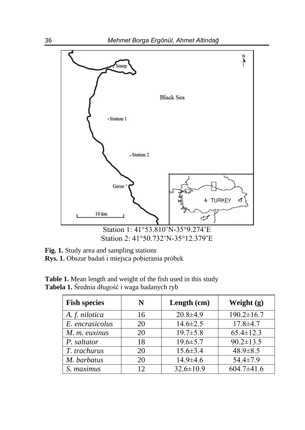

**Fig. 1.** Study area and sampling stations **Rys. 1.** Obszar badań i miejsca pobierania próbek

| <b>Fish species</b> | N  | Length (cm)     | Weight $(g)$     |
|---------------------|----|-----------------|------------------|
| A. f. nilotica      | 16 | $20.8 \pm 4.9$  | $190.2 \pm 16.7$ |
| E. encrasicolus     | 20 | $14.6 \pm 2.5$  | $17.8 \pm 4.7$   |
| M. m. euxinus       | 20 | $19.7 \pm 5.8$  | $65.4 \pm 12.3$  |
| P. saltator         | 18 | $19.6 \pm 5.7$  | $90.2 \pm 13.5$  |
| T. trachurus        | 20 | $15.6 \pm 3.4$  | $48.9 \pm 8.5$   |
| M. barbatus         | 20 | $14.9 \pm 4.6$  | $54.4 \pm 7.9$   |
| S. maximus          | 12 | $32.6 \pm 10.9$ | $604.7 \pm 41.6$ |

**Table 1.** Mean length and weight of the fish used in this study **Tabela 1.** Średnia długość i waga badanych ryb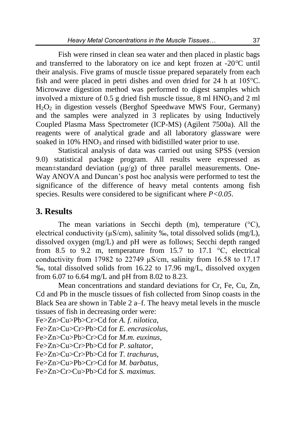Fish were rinsed in clean sea water and then placed in plastic bags and transferred to the laboratory on ice and kept frozen at -20*°*C until their analysis. Five grams of muscle tissue prepared separately from each fish and were placed in petri dishes and oven dried for 24 h at 105°C. Microwave digestion method was performed to digest samples which involved a mixture of 0.5 g dried fish muscle tissue,  $8 \text{ ml HNO}_3$  and  $2 \text{ ml}$  $H<sub>2</sub>O<sub>2</sub>$  in digestion vessels (Berghof Speedwave MWS Four, Germany) and the samples were analyzed in 3 replicates by using Inductively Coupled Plasma Mass Spectrometer (ICP-MS) (Agilent 7500a). All the reagents were of analytical grade and all laboratory glassware were soaked in  $10\%$  HNO<sub>3</sub> and rinsed with bidistilled water prior to use.

Statistical analysis of data was carried out using SPSS (version 9.0) statistical package program. All results were expressed as mean $\pm$ standard deviation ( $\mu$ g/g) of three parallel measurements. One-Way ANOVA and Duncan's post hoc analysis were performed to test the significance of the difference of heavy metal contents among fish species. Results were considered to be significant where *P<0.05*.

## **3. Results**

The mean variations in Secchi depth  $(m)$ , temperature  $(^{\circ}C)$ , electrical conductivity ( $\mu$ S/cm), salinity ‰, total dissolved solids (mg/L), dissolved oxygen (mg/L) and pH were as follows; Secchi depth ranged from 8.5 to 9.2 m, temperature from 15.7 to 17.1  $\degree$ C, electrical conductivity from 17982 to 22749 µS/cm, salinity from 16.58 to 17.17 ‰, total dissolved solids from 16.22 to 17.96 mg/L, dissolved oxygen from 6.07 to 6.64 mg/L and pH from 8.02 to 8.23.

Mean concentrations and standard deviations for Cr, Fe, Cu, Zn, Cd and Pb in the muscle tissues of fish collected from Sinop coasts in the Black Sea are shown in Table 2 a–f. The heavy metal levels in the muscle tissues of fish in decreasing order were:

Fe>Zn>Cu>Pb>Cr>Cd for *A. f. nilotica*, Fe>Zn>Cu>Cr>Pb>Cd for *E. encrasicolus*, Fe>Zn>Cu>Pb>Cr>Cd for *M.m. euxinus*, Fe>Zn>Cu>Cr>Pb>Cd for *P. saltator*, Fe>Zn>Cu>Cr>Pb>Cd for *T. trachurus*, Fe>Zn>Cu>Pb>Cr>Cd for *M. barbatus*, Fe>Zn>Cr>Cu>Pb>Cd for *S. maximus*.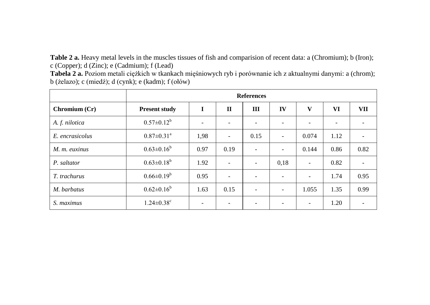**Table 2 a.** Heavy metal levels in the muscles tissues of fish and comparision of recent data: a (Chromium); b (Iron); c (Copper); d (Zinc); e (Cadmium); f (Lead)

**Tabela 2 a.** Poziom metali ciężkich w tkankach mięśniowych ryb i porównanie ich z aktualnymi danymi: a (chrom); b (żelazo); c (miedź); d (cynk); e (kadm); f (ołów)

|                 |                              | <b>References</b> |                          |                          |                          |                          |      |      |  |  |  |
|-----------------|------------------------------|-------------------|--------------------------|--------------------------|--------------------------|--------------------------|------|------|--|--|--|
| Chromium (Cr)   | <b>Present study</b>         | I                 | $\mathbf{I}$             | Ш                        | IV                       | V                        | VI   | VII  |  |  |  |
| A. f. nilotica  | $0.57 \pm 0.12^b$            |                   |                          | ۰                        | $\overline{\phantom{0}}$ | $\overline{\phantom{0}}$ |      |      |  |  |  |
| E. encrasicolus | $0.87 \pm 0.31$ <sup>a</sup> | 1,98              | $\blacksquare$           | 0.15                     | $\blacksquare$           | 0.074                    | 1.12 |      |  |  |  |
| M. m. euxinus   | $0.63 \pm 0.16^b$            | 0.97              | 0.19                     | ۰                        | $\sim$                   | 0.144                    | 0.86 | 0.82 |  |  |  |
| P. saltator     | $0.63 \pm 0.18^b$            | 1.92              | ۰                        | $\overline{\phantom{a}}$ | 0,18                     | $\blacksquare$           | 0.82 |      |  |  |  |
| T. trachurus    | $0.66 \pm 0.19^b$            | 0.95              | $\overline{\phantom{a}}$ | $\overline{\phantom{0}}$ | $\overline{\phantom{a}}$ | $\overline{\phantom{a}}$ | 1.74 | 0.95 |  |  |  |
| M. barbatus     | $0.62 \pm 0.16^b$            | 1.63              | 0.15                     | ۰                        | $\overline{\phantom{a}}$ | 1.055                    | 1.35 | 0.99 |  |  |  |
| S. maximus      | $1.24 \pm 0.38$ <sup>c</sup> |                   |                          |                          | ۰                        | $\overline{\phantom{a}}$ | 1.20 |      |  |  |  |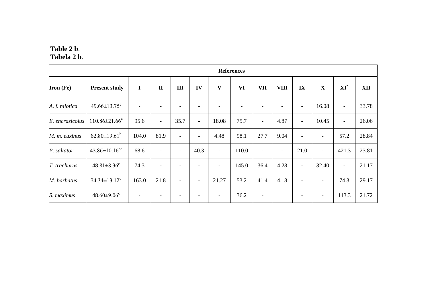#### **Table 2 b**. **Tabela 2 b**.

|                  |                                 | <b>References</b>        |                          |                          |                          |                          |       |                          |                          |                          |                          |                           |       |
|------------------|---------------------------------|--------------------------|--------------------------|--------------------------|--------------------------|--------------------------|-------|--------------------------|--------------------------|--------------------------|--------------------------|---------------------------|-------|
| <b>Iron</b> (Fe) | <b>Present study</b>            | I                        | $\mathbf{I}$             | III                      | IV                       | V                        | VI    | <b>VII</b>               | <b>VIII</b>              | $\mathbf{IX}$            | $\mathbf X$              | $\mathbf{X} \mathbf{I}^*$ | XII   |
| A. f. nilotica   | $49.66 \pm 13.75$ <sup>c</sup>  | $\overline{\phantom{a}}$ | $\overline{\phantom{0}}$ |                          |                          |                          |       |                          |                          | $\overline{\phantom{a}}$ | 16.08                    | $\overline{\phantom{a}}$  | 33.78 |
| E. encrasicolus  | $110.86 \pm 21.66^a$            | 95.6                     | $\overline{\phantom{a}}$ | 35.7                     | $\overline{\phantom{a}}$ | 18.08                    | 75.7  | $\overline{\phantom{a}}$ | 4.87                     | $\overline{\phantom{a}}$ | 10.45                    | $\overline{\phantom{a}}$  | 26.06 |
| M. m. euxinus    | $62.80 \pm 19.61^{\mathrm{b}}$  | 104.0                    | 81.9                     | -                        | $\overline{\phantom{a}}$ | 4.48                     | 98.1  | 27.7                     | 9.04                     | $\overline{\phantom{a}}$ | $\overline{\phantom{a}}$ | 57.2                      | 28.84 |
| P. saltator      | $43.86 \pm 10.16$ <sup>bc</sup> | 68.6                     | $\qquad \qquad -$        | $\overline{\phantom{0}}$ | 40.3                     | $\overline{\phantom{a}}$ | 110.0 | $\overline{\phantom{a}}$ | $\overline{\phantom{a}}$ | 21.0                     | $\overline{\phantom{a}}$ | 421.3                     | 23.81 |
| T. trachurus     | $48.81 \pm 8.36$ <sup>c</sup>   | 74.3                     | ٠                        |                          | ٠                        | $\overline{\phantom{a}}$ | 145.0 | 36.4                     | 4.28                     | $\overline{\phantom{a}}$ | 32.40                    | $\overline{\phantom{a}}$  | 21.17 |
| M. barbatus      | $34.34 \pm 13.12^d$             | 163.0                    | 21.8                     | $\overline{\phantom{0}}$ | $\overline{\phantom{a}}$ | 21.27                    | 53.2  | 41.4                     | 4.18                     | $\overline{\phantom{a}}$ | $\overline{\phantom{a}}$ | 74.3                      | 29.17 |
| S. maximus       | $48.60 \pm 9.06$ <sup>c</sup>   |                          |                          |                          |                          |                          | 36.2  | $\overline{\phantom{a}}$ |                          |                          | $\qquad \qquad$          | 113.3                     | 21.72 |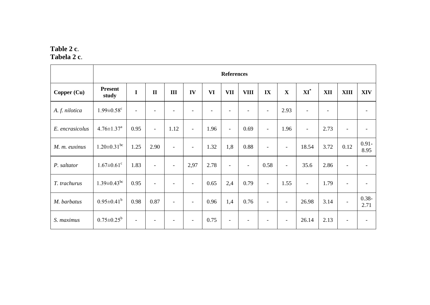#### **Table 2 c**. **Tabela 2 c**.

|                 |                               | <b>References</b>        |                          |                          |                          |      |                          |                              |                          |                          |                          |      |                          |                  |
|-----------------|-------------------------------|--------------------------|--------------------------|--------------------------|--------------------------|------|--------------------------|------------------------------|--------------------------|--------------------------|--------------------------|------|--------------------------|------------------|
| Copper (Cu)     | <b>Present</b><br>study       | $\mathbf I$              | $\mathbf{I}$             | III                      | IV                       | VI   | <b>VII</b>               | <b>VIII</b>                  | IX                       | $\mathbf X$              | $XI^*$                   | XII  | <b>XIII</b>              | <b>XIV</b>       |
| A. f. nilotica  | $1.99 \pm 0.58$ <sup>c</sup>  | $\overline{\phantom{a}}$ |                          |                          |                          |      |                          | ۰                            | $\overline{\phantom{a}}$ | 2.93                     |                          |      |                          |                  |
| E. encrasicolus | $4.76 \pm 1.37^{\text{a}}$    | 0.95                     | $\overline{\phantom{a}}$ | 1.12                     | $\overline{\phantom{a}}$ | 1.96 | $\sim$                   | 0.69                         | $\overline{\phantom{a}}$ | 1.96                     | $\blacksquare$           | 2.73 | $\overline{\phantom{a}}$ |                  |
| M. m. euxinus   | $1.20 \pm 0.31$ <sup>bc</sup> | 1.25                     | 2.90                     | $\overline{\phantom{a}}$ | $\overline{\phantom{a}}$ | 1.32 | 1,8                      | 0.88                         | $\overline{\phantom{a}}$ | $\overline{\phantom{a}}$ | 18.54                    | 3.72 | 0.12                     | $0.91 -$<br>8.95 |
| P. saltator     | $1.67 \pm 0.61$ <sup>c</sup>  | 1.83                     | $\overline{\phantom{a}}$ | $\overline{\phantom{a}}$ | 2,97                     | 2.78 | $\overline{\phantom{a}}$ | $\overline{\phantom{a}}$     | 0.58                     | $\overline{\phantom{a}}$ | 35.6                     | 2.86 | $\overline{\phantom{a}}$ |                  |
| T. trachurus    | $1.39 \pm 0.43$ <sup>bc</sup> | 0.95                     | $\overline{\phantom{a}}$ | $\overline{\phantom{a}}$ | $\overline{\phantom{a}}$ | 0.65 | 2,4                      | 0.79                         | $\overline{\phantom{a}}$ | 1.55                     | $\overline{\phantom{a}}$ | 1.79 | $\overline{\phantom{a}}$ |                  |
| M. barbatus     | $0.95 \pm 0.41^b$             | 0.98                     | 0.87                     | $\overline{\phantom{a}}$ | $\overline{\phantom{a}}$ | 0.96 | 1,4                      | 0.76                         | $\overline{\phantom{a}}$ | $\overline{\phantom{a}}$ | 26.98                    | 3.14 | $\overline{\phantom{a}}$ | $0.38 -$<br>2.71 |
| S. maximus      | $0.75 \pm 0.25^b$             | $\overline{\phantom{a}}$ |                          |                          | $\overline{\phantom{a}}$ | 0.75 | ٠                        | $\qquad \qquad \blacksquare$ | -                        | $\overline{\phantom{a}}$ | 26.14                    | 2.13 |                          |                  |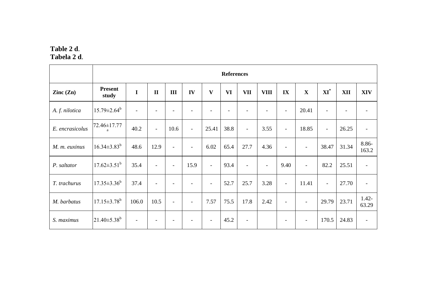#### **Table 2 d**. **Tabela 2 d**.

|                          | <b>References</b>             |                          |                          |                          |                          |                          |      |                          |                          |                          |                          |                          |       |                          |
|--------------------------|-------------------------------|--------------------------|--------------------------|--------------------------|--------------------------|--------------------------|------|--------------------------|--------------------------|--------------------------|--------------------------|--------------------------|-------|--------------------------|
| $\text{Zinc}(\text{Zn})$ | <b>Present</b><br>study       | $\mathbf I$              | $\mathbf{I}$             | Ш                        | IV                       | V                        | VI   | <b>VII</b>               | <b>VIII</b>              | $\mathbf{IX}$            | $\mathbf X$              | $\bold{X}\bold{I}^*$     | XII   | <b>XIV</b>               |
| A. f. nilotica           | $15.79 \pm 2.64^b$            |                          |                          |                          |                          |                          |      |                          |                          | $\overline{\phantom{a}}$ | 20.41                    | $\overline{\phantom{0}}$ |       |                          |
| E. encrasicolus          | 72.46±17.77<br>a              | 40.2                     | $\overline{\phantom{a}}$ | 10.6                     | $\overline{\phantom{a}}$ | 25.41                    | 38.8 | $\overline{\phantom{a}}$ | 3.55                     | $\overline{\phantom{a}}$ | 18.85                    | $\overline{\phantom{a}}$ | 26.25 | $\overline{\phantom{a}}$ |
| M. m. euxinus            | $16.34 \pm 3.83^b$            | 48.6                     | 12.9                     | $\overline{\phantom{a}}$ | $\overline{\phantom{a}}$ | 6.02                     | 65.4 | 27.7                     | 4.36                     | $\blacksquare$           | $\overline{\phantom{a}}$ | 38.47                    | 31.34 | 8.86-<br>163.2           |
| P. saltator              | $17.62 \pm 3.51^{\mathrm{b}}$ | 35.4                     | $\overline{\phantom{a}}$ | $\overline{\phantom{a}}$ | 15.9                     | $\overline{\phantom{a}}$ | 93.4 | $\blacksquare$           | $\overline{\phantom{a}}$ | 9.40                     | $\overline{\phantom{a}}$ | 82.2                     | 25.51 | $\overline{\phantom{a}}$ |
| T. trachurus             | $17.35 \pm 3.36^b$            | 37.4                     | $\overline{\phantom{a}}$ |                          |                          | $\overline{\phantom{a}}$ | 52.7 | 25.7                     | 3.28                     | $\overline{\phantom{a}}$ | 11.41                    | $\overline{\phantom{a}}$ | 27.70 |                          |
| M. barbatus              | $17.15 \pm 3.78$ <sup>b</sup> | 106.0                    | 10.5                     | $\overline{\phantom{a}}$ | $\overline{\phantom{a}}$ | 7.57                     | 75.5 | 17.8                     | 2.42                     | $\overline{\phantom{a}}$ | $\overline{\phantom{a}}$ | 29.79                    | 23.71 | $1.42 -$<br>63.29        |
| S. maximus               | $21.40 \pm 5.38^b$            | $\overline{\phantom{a}}$ | $\overline{\phantom{a}}$ | $\overline{\phantom{a}}$ | $\overline{\phantom{a}}$ | $\overline{\phantom{a}}$ | 45.2 | $\overline{\phantom{a}}$ |                          | $\overline{\phantom{a}}$ | $\overline{\phantom{a}}$ | 170.5                    | 24.83 | $\overline{\phantom{a}}$ |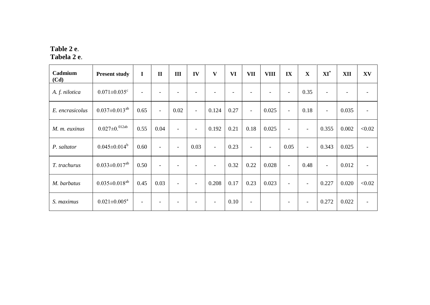#### **Table 2 e**. **Tabela 2 e**.

| Cadmium<br>(Cd) | <b>Present study</b>           | $\bf{I}$                 | $\mathbf{I}$             | III                      | IV                           | V                        | VI   | <b>VII</b>               | <b>VIII</b>              | IX                       | $\mathbf X$              | $\bold{XI}^*$            | XII                      | XV     |
|-----------------|--------------------------------|--------------------------|--------------------------|--------------------------|------------------------------|--------------------------|------|--------------------------|--------------------------|--------------------------|--------------------------|--------------------------|--------------------------|--------|
| A. f. nilotica  | $0.071 \pm 0.035$ <sup>c</sup> | $\overline{\phantom{a}}$ |                          |                          |                              |                          |      |                          | $\overline{\phantom{0}}$ | $\overline{\phantom{a}}$ | 0.35                     | $\overline{\phantom{a}}$ | $\overline{\phantom{a}}$ |        |
| E. encrasicolus | $0.037 \pm 0.013^{ab}$         | 0.65                     | $\overline{\phantom{a}}$ | 0.02                     | $\overline{\phantom{a}}$     | 0.124                    | 0.27 | $\overline{\phantom{a}}$ | 0.025                    | $\overline{\phantom{a}}$ | 0.18                     | $\overline{\phantom{a}}$ | 0.035                    |        |
| M. m. euxinus   | $0.027\pm0.012$ ab             | 0.55                     | 0.04                     | $\overline{\phantom{a}}$ | $\overline{\phantom{a}}$     | 0.192                    | 0.21 | 0.18                     | 0.025                    | $\overline{\phantom{a}}$ | $\overline{\phantom{a}}$ | 0.355                    | 0.002                    | < 0.02 |
| P. saltator     | $0.045 \pm 0.014^b$            | 0.60                     | $\overline{\phantom{a}}$ | $\overline{\phantom{a}}$ | 0.03                         | $\overline{\phantom{a}}$ | 0.23 | $\overline{\phantom{a}}$ | $\overline{\phantom{a}}$ | 0.05                     | $\overline{\phantom{a}}$ | 0.343                    | 0.025                    |        |
| T. trachurus    | $0.033 \pm 0.017^{ab}$         | 0.50                     |                          |                          | $\qquad \qquad \blacksquare$ |                          | 0.32 | 0.22                     | 0.028                    | $\overline{\phantom{a}}$ | 0.48                     | $\overline{\phantom{a}}$ | 0.012                    |        |
| M. barbatus     | $0.035 \pm 0.018^{ab}$         | 0.45                     | 0.03                     | $\blacksquare$           | $\overline{\phantom{a}}$     | 0.208                    | 0.17 | 0.23                     | 0.023                    | $\overline{\phantom{a}}$ |                          | 0.227                    | 0.020                    | < 0.02 |
| S. maximus      | $0.021 \pm 0.005^{\text{a}}$   |                          |                          |                          |                              | $\overline{\phantom{a}}$ | 0.10 | $\overline{\phantom{a}}$ |                          | $\overline{\phantom{a}}$ | $\overline{\phantom{a}}$ | 0.272                    | 0.022                    |        |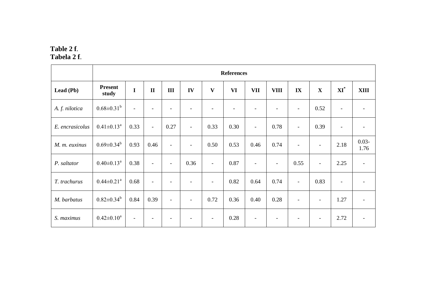#### **Table 2 f**. **Tabela 2 f**.

|                 |                              | <b>References</b>        |                          |                          |                          |                          |      |                          |                          |                          |                          |                          |                          |
|-----------------|------------------------------|--------------------------|--------------------------|--------------------------|--------------------------|--------------------------|------|--------------------------|--------------------------|--------------------------|--------------------------|--------------------------|--------------------------|
| Lead (Pb)       | <b>Present</b><br>study      | $\mathbf I$              | $\mathbf{I}$             | $\rm III$                | ${\bf IV}$               | $\mathbf{V}$             | VI   | <b>VII</b>               | <b>VIII</b>              | IX                       | $\mathbf X$              | $\bold{X}\bold{I}^*$     | <b>XIII</b>              |
| A. f. nilotica  | $0.68 \pm 0.31^b$            | $\overline{\phantom{a}}$ | $\overline{\phantom{a}}$ | $\overline{\phantom{a}}$ |                          |                          | ۰    | $\overline{\phantom{a}}$ | $\overline{\phantom{a}}$ | $\overline{\phantom{a}}$ | 0.52                     | $\blacksquare$           |                          |
| E. encrasicolus | $0.41 \pm 0.13^{\text{a}}$   | 0.33                     | $\overline{\phantom{a}}$ | 0.27                     | $\overline{\phantom{a}}$ | 0.33                     | 0.30 | $\overline{\phantom{a}}$ | 0.78                     | $\overline{a}$           | 0.39                     | $\overline{\phantom{a}}$ |                          |
| M. m. euxinus   | $0.69 \pm 0.34^b$            | 0.93                     | 0.46                     | $\overline{\phantom{a}}$ | $\overline{\phantom{a}}$ | 0.50                     | 0.53 | 0.46                     | 0.74                     | $\overline{a}$           | $\overline{\phantom{a}}$ | 2.18                     | $0.03 -$<br>1.76         |
| P. saltator     | $0.40 \pm 0.13^{\text{a}}$   | 0.38                     | $\overline{\phantom{a}}$ | $\overline{\phantom{a}}$ | 0.36                     | $\overline{\phantom{a}}$ | 0.87 | $\overline{\phantom{a}}$ | $\overline{\phantom{a}}$ | 0.55                     | $\overline{\phantom{a}}$ | 2.25                     | $\overline{\phantom{a}}$ |
| T. trachurus    | $0.44 \pm 0.21$ <sup>a</sup> | 0.68                     | $\overline{\phantom{a}}$ | $\overline{\phantom{0}}$ | $\overline{\phantom{a}}$ | $\overline{\phantom{a}}$ | 0.82 | 0.64                     | 0.74                     | $\overline{a}$           | 0.83                     | $\overline{\phantom{a}}$ |                          |
| M. barbatus     | $0.82 \pm 0.34^b$            | 0.84                     | 0.39                     | $\overline{\phantom{a}}$ | $\overline{\phantom{a}}$ | 0.72                     | 0.36 | 0.40                     | 0.28                     |                          | $\overline{\phantom{a}}$ | 1.27                     |                          |
| S. maximus      | $0.42 \pm 0.10^a$            | $\overline{\phantom{a}}$ | $\overline{\phantom{0}}$ | ۰                        |                          | $\overline{\phantom{a}}$ | 0.28 | $\overline{\phantom{a}}$ | $\overline{\phantom{a}}$ |                          | $\overline{\phantom{a}}$ | 2.72                     |                          |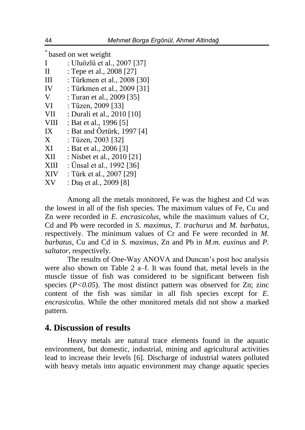\* based on wet weight

| I                 | : Uluözlü et al., 2007 [37] |
|-------------------|-----------------------------|
| $_{\rm II}$       | : Tepe et al., 2008 [27]    |
| Ш                 | : Türkmen et al., 2008 [30] |
| IV                | : Türkmen et al., 2009 [31] |
| V                 | : Turan et al., 2009 [35]   |
| VI                | : Tüzen, 2009 [33]          |
| VII               | : Durali et al., 2010 [10]  |
| <b>VIII</b>       | : Bat et al., 1996 [5]      |
| IX                | : Bat and Öztürk, 1997 [4]  |
| $X_{\mathcal{E}}$ | : Tüzen, 2003 [32]          |
| XI                | : Bat et al., 2006 [3]      |
| XII               | : Nisbet et al., 2010 [21]  |
| XIII              | : Unsal et al., 1992 [36]   |
| <b>XIV</b>        | : Türk et al., 2007 [29]    |
| XV                | : Daş et al., 2009 [8]      |

Among all the metals monitored, Fe was the highest and Cd was the lowest in all of the fish species. The maximum values of Fe, Cu and Zn were recorded in *E. encrasicolus*, while the maximum values of Cr,

Cd and Pb were recorded in *S. maximus*, *T. trachurus* and *M. barbatus*, respectively. The minimum values of Cr and Fe were recorded in *M. barbatus*, Cu and Cd in *S. maximus*, Zn and Pb in *M.m. euxinus* and *P. saltator*, respectively.

The results of One-Way ANOVA and Duncan's post hoc analysis were also shown on Table 2 a–f. It was found that, metal levels in the muscle tissue of fish was considered to be significant between fish species  $(P<0.05)$ . The most distinct pattern was observed for Zn; zinc content of the fish was similar in all fish species except for *E. encrasicolus*. While the other monitored metals did not show a marked pattern.

### **4. Discussion of results**

Heavy metals are natural trace elements found in the aquatic environment, but domestic, industrial, mining and agricultural activities lead to increase their levels [6]. Discharge of industrial waters polluted with heavy metals into aquatic environment may change aquatic species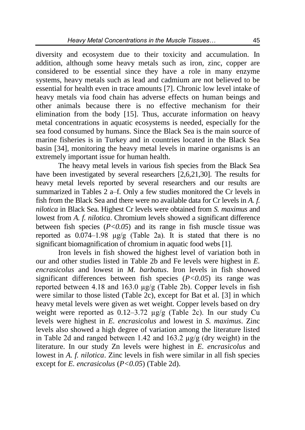diversity and ecosystem due to their toxicity and accumulation. In addition, although some heavy metals such as iron, zinc, copper are considered to be essential since they have a role in many enzyme systems, heavy metals such as lead and cadmium are not believed to be essential for health even in trace amounts [7]. Chronic low level intake of heavy metals via food chain has adverse effects on human beings and other animals because there is no effective mechanism for their elimination from the body [15]. Thus, accurate information on heavy metal concentrations in aquatic ecosystems is needed, especially for the sea food consumed by humans. Since the Black Sea is the main source of marine fisheries is in Turkey and in countries located in the Black Sea basin [34], monitoring the heavy metal levels in marine organisms is an extremely important issue for human health.

The heavy metal levels in various fish species from the Black Sea have been investigated by several researchers [2,6,21,30]. The results for heavy metal levels reported by several researchers and our results are summarized in Tables 2 a–f. Only a few studies monitored the Cr levels in fish from the Black Sea and there were no available data for Cr levels in *A. f. nilotica* in Black Sea. Highest Cr levels were obtained from *S. maximus* and lowest from *A. f. nilotica*. Chromium levels showed a significant difference between fish species  $(P<0.05)$  and its range in fish muscle tissue was reported as  $0.074-1.98$   $\mu$ g/g (Table 2a). It is stated that there is no significant biomagnification of chromium in aquatic food webs [1].

Iron levels in fish showed the highest level of variation both in our and other studies listed in Table 2b and Fe levels were highest in *E. encrasicolus* and lowest in *M. barbatus*. Iron levels in fish showed significant differences between fish species (*P<0.05*) its range was reported between 4.18 and 163.0 µg/g (Table 2b). Copper levels in fish were similar to those listed (Table 2c), except for Bat et al. [3] in which heavy metal levels were given as wet weight. Copper levels based on dry weight were reported as 0.12–3.72 µg/g (Table 2c). In our study Cu levels were highest in *E. encrasicolus* and lowest in *S. maximus*. Zinc levels also showed a high degree of variation among the literature listed in Table 2d and ranged between 1.42 and 163.2 µg/g (dry weight) in the literature. In our study Zn levels were highest in *E. encrasicolus* and lowest in *A. f. nilotica*. Zinc levels in fish were similar in all fish species except for *E. encrasicolus* (*P<0.05*) (Table 2d).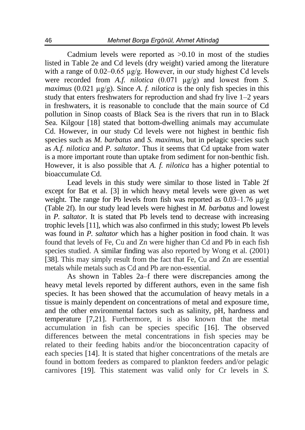Cadmium levels were reported as  $>0.10$  in most of the studies listed in Table 2e and Cd levels (dry weight) varied among the literature with a range of 0.02–0.65  $\mu$ g/g. However, in our study highest Cd levels were recorded from *A.f. nilotica* (0.071 µg/g) and lowest from *S. maximus* (0.021  $\mu$ g/g). Since *A. f. nilotica* is the only fish species in this study that enters freshwaters for reproduction and shad fry live 1–2 years in freshwaters, it is reasonable to conclude that the main source of Cd pollution in Sinop coasts of Black Sea is the rivers that run in to Black Sea. Kilgour [18] stated that bottom-dwelling animals may accumulate Cd. However, in our study Cd levels were not highest in benthic fish species such as *M. barbatus* and *S. maximus*, but in pelagic species such as *A.f. nilotica* and *P. saltator*. Thus it seems that Cd uptake from water is a more important route than uptake from sediment for non-benthic fish. However, it is also possible that *A. f. nilotica* has a higher potential to bioaccumulate Cd.

Lead levels in this study were similar to those listed in Table 2f except for Bat et al. [3] in which heavy metal levels were given as wet weight. The range for Pb levels from fish was reported as 0.03–1.76 µg/g (Table 2f). In our study lead levels were highest in *M. barbatus* and lowest in *P. saltator*. It is stated that Pb levels tend to decrease with increasing trophic levels [11], which was also confirmed in this study; lowest Pb levels was found in *P. saltator* which has a higher position in food chain. It was found that levels of Fe, Cu and Zn were higher than Cd and Pb in each fish species studied. A similar finding was also reported by Wong et al. (2001) [38]. This may simply result from the fact that Fe, Cu and Zn are essential metals while metals such as Cd and Pb are non-essential.

As shown in Tables 2a–f there were discrepancies among the heavy metal levels reported by different authors, even in the same fish species. It has been showed that the accumulation of heavy metals in a tissue is mainly dependent on concentrations of metal and exposure time, and the other environmental factors such as salinity, pH, hardness and temperature [7,21]. Furthermore, it is also known that the metal accumulation in fish can be species specific [16]. The observed differences between the metal concentrations in fish species may be related to their feeding habits and/or the bioconcentration capacity of each species [14]. It is stated that higher concentrations of the metals are found in bottom feeders as compared to plankton feeders and/or pelagic carnivores [19]. This statement was valid only for Cr levels in *S.*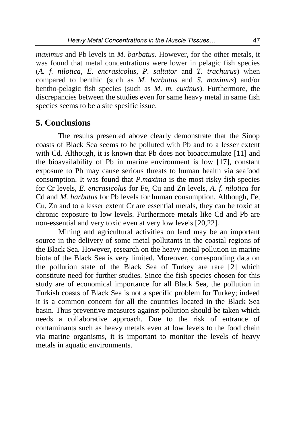*maximus* and Pb levels in *M. barbatus*. However, for the other metals, it was found that metal concentrations were lower in pelagic fish species (*A. f. nilotica*, *E. encrasicolus*, *P. saltator* and *T. trachurus*) when compared to benthic (such as *M. barbatus* and *S. maximus*) and/or bentho-pelagic fish species (such as *M. m. euxinus*). Furthermore, the discrepancies between the studies even for same heavy metal in same fish species seems to be a site spesific issue.

#### **5. Conclusions**

The results presented above clearly demonstrate that the Sinop coasts of Black Sea seems to be polluted with Pb and to a lesser extent with Cd. Although, it is known that Pb does not bioaccumulate [11] and the bioavailability of Pb in marine environment is low [17], constant exposure to Pb may cause serious threats to human health via seafood consumption. It was found that *P.maxima* is the most risky fish species for Cr levels, *E. encrasicolus* for Fe, Cu and Zn levels, *A. f. nilotica* for Cd and *M. barbatus* for Pb levels for human consumption. Although, Fe, Cu, Zn and to a lesser extent Cr are essential metals, they can be toxic at chronic exposure to low levels. Furthermore metals like Cd and Pb are non-essential and very toxic even at very low levels [20,22].

Mining and agricultural activities on land may be an important source in the delivery of some metal pollutants in the coastal regions of the Black Sea. However, research on the heavy metal pollution in marine biota of the Black Sea is very limited. Moreover, corresponding data on the pollution state of the Black Sea of Turkey are rare [2] which constitute need for further studies. Since the fish species chosen for this study are of economical importance for all Black Sea, the pollution in Turkish coasts of Black Sea is not a specific problem for Turkey; indeed it is a common concern for all the countries located in the Black Sea basin. Thus preventive measures against pollution should be taken which needs a collaborative approach. Due to the risk of entrance of contaminants such as heavy metals even at low levels to the food chain via marine organisms, it is important to monitor the levels of heavy metals in aquatic environments.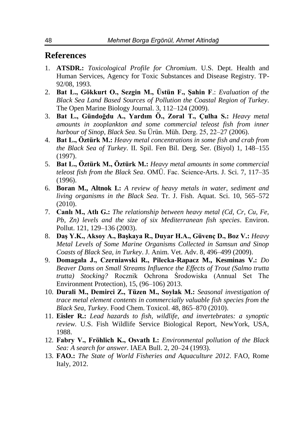### **References**

- 1. **ATSDR.:** *Toxicological Profile for Chromium*. U.S. Dept. Health and Human Services, Agency for Toxic Substances and Disease Registry. TP-92/08, 1993.
- 2. **Bat L., Gökkurt O., Sezgin M., Üstün F., Şahin F**.: *Evaluation of the Black Sea Land Based Sources of Pollution the Coastal Region of Turkey*. The Open Marine Biology Journal. 3, 112–124 (2009).
- 3. **Bat L., Gündoğdu A., Yardım Ö., Zoral T., Çulha S.:** *Heavy metal amounts in zooplankton and some commercial teleost fish from inner harbour of Sinop, Black Sea*. Su Ürün. Müh. Derg. 25, 22–27 (2006).
- 4. **Bat L., Öztürk M.:** *Heavy metal concentrations in some fish and crab from the Black Sea of Turkey*. II. Spil. Fen Bil. Derg. Ser. (Biyol) 1, 148–155 (1997).
- 5. **Bat L., Öztürk M., Öztürk M.:** *Heavy metal amounts in some commercial teleost fish from the Black Sea*. OMÜ. Fac. Science-Arts. J. Sci. 7, 117–35 (1996).
- 6. **Boran M., Altnok I.:** *A review of heavy metals in water, sediment and living organisms in the Black Sea*. Tr. J. Fish. Aquat. Sci. 10, 565–572 (2010).
- 7. **Canlı M., Atlı G.:** *The relationship between heavy metal (Cd, Cr, Cu, Fe, Pb, Zn) levels and the size of six Mediterranean fish species*. Environ. Pollut. 121, 129–136 (2003).
- 8. **Daş Y.K., Aksoy A., Başkaya R., Duyar H.A., Güvenç D., Boz V.:** *Heavy Metal Levels of Some Marine Organisms Collected in Samsun and Sinop Coasts of Black Sea, in Turkey*. J. Anim. Vet. Adv. 8, 496–499 (2009).
- 9. **Domagała J., Czerniawski R., Pilecka-Rapacz M., Kesminas V.:** *Do Beaver Dams on Small Streams Influence the Effects of Trout (Salmo trutta trutta) Stocking?* Rocznik Ochrona Środowiska (Annual Set The Environment Protection), 15, (96–106) 2013.
- 10. **Durali M., Demirci Z., Tüzen M., Soylak M.:** *Seasonal investigation of trace metal element contents in commercially valuable fish species from the Black Sea, Turkey*. Food Chem. Toxicol. 48, 865–870 (2010).
- 11. **Eisler R.:** *Lead hazards to fish, wildlife, and invertebrates: a synoptic review.* U.S. Fish Wildlife Service Biological Report, NewYork, USA, 1988.
- 12. **Fabry V., Fröhlich K., Osvath I.:** *Environmental pollution of the Black Sea: A search for answer*. IAEA Bull. 2, 20–24 (1993).
- 13. **FAO.:** *The State of World Fisheries and Aquaculture 2012*. FAO, Rome Italy, 2012.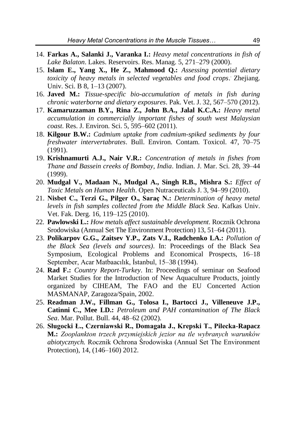- 14. **Farkas A., Salanki J., Varanka I.:** *Heavy metal concentrations in fish of Lake Balaton*. Lakes. Reservoirs. Res. Manag. 5, 271–279 (2000).
- 15. **Islam E., Yang X., He Z., Mahmood Q.:** *Assessing potential dietary toxicity of heavy metals in selected vegetables and food crops*. . Zhejiang. Univ. Sci. B 8, 1–13 (2007).
- 16. **Javed M.:** *Tissue-specific bio-accumulation of metals in fish during chronic waterborne and dietary exposures*. Pak. Vet. J. 32, 567–570 (2012).
- 17. **Kamaruzzaman B.Y., Rina Z., John B.A., Jalal K.C.A.:** *Heavy metal accumulation in commercially important fishes of south west Malaysian coast*. Res. J. Environ. Sci. 5, 595–602 (2011).
- 18. **Kilgour B.W.:** *Cadmium uptake from cadmium-spiked sediments by four freshwater intervertabrates*. Bull. Environ. Contam. Toxicol. 47, 70–75 (1991).
- 19. **Krishnamurti A.J., Nair V.R.:** *Concentration of metals in fishes from Thane and Bassein creeks of Bombay, India*. Indian. J. Mar. Sci. 28, 39–44 (1999).
- 20. **Mudgal V., Madaan N., Mudgal A., Singh R.B., Mishra S.:** *Effect of Toxic Metals on Human Health*. Open Nutraceuticals J. 3, 94–99 (2010).
- 21. **Nisbet C., Terzi G., Pilger O., Saraç N.:** *Determination of heavy metal levels in fish samples collected from the Middle Black Sea*. Kafkas Univ. Vet. Fak. Derg. 16, 119–125 (2010).
- 22. **Pawlowski L.:** *How metals affect sustainable development*. Rocznik Ochrona Srodowiska (Annual Set The Environment Protection) 13, 51–64 (2011).
- 23. **Polikarpov G.G., Zaitsev Y.P., Zats V.I., Radchenko LA.:** *Pollution of the Black Sea (levels and sources)*. In: Proceedings of the Black Sea Symposium, Ecological Problems and Economical Prospects, 16–18 September, Acar Matbaacılık, İstanbul, 15–38 (1994).
- 24. **Rad F.:** *Country Report-Turkey*. In: Proceedings of seminar on Seafood Market Studies for the Introduction of New Aquaculture Products, jointly organized by CIHEAM, The FAO and the EU Concerted Action MASMANAP, Zaragoza/Spain, 2002.
- 25. **Readman J.W., Fillman G., Tolosa I., Bartocci J., Villeneuve J.P., Catinni C., Mee LD.:** *Petroleum and PAH contamination of The Black Sea*. Mar. Pollut. Bull. 44, 48–62 (2002).
- 26. **Sługocki Ł., Czerniawski R., Domagała J., Krepski T., Pilecka-Rapacz M.:** *Zooplankton trzech przymiejskich jezior na tle wybranych warunków abiotycznych.* Rocznik Ochrona Środowiska (Annual Set The Environment Protection), 14, (146–160) 2012.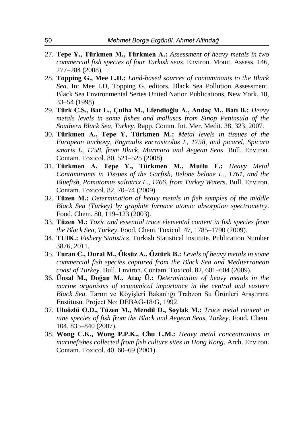- 27. **Tepe Y., Türkmen M., Türkmen A.:** *Assessment of heavy metals in two commercial fish species of four Turkish seas*. Environ. Monit. Assess. 146, 277–284 (2008).
- 28. **Topping G., Mee L.D.:** *Land-based sources of contaminants to the Black Sea*. In: Mee LD, Topping G, editors. Black Sea Pollution Assessment. Black Sea Environmental Series United Nation Publications, New York. 10, 33–54 (1998).
- 29. **Türk C.S., Bat L., Çulha M., Efendioğlu A., Andaç M., Batı B.:** *Heavy metals levels in some fishes and molluscs from Sinop Peninsula of the Southern Black Sea, Turkey*. Rapp. Comm. Int. Mer. Medit. 38, 323, 2007.
- 30. **Türkmen A., Tepe Y, Türkmen M.:** *Metal levels in tissues of the European anchovy, Engraulis encrasicolus L, 1758, and picarel, Spicara smaris L, 1758, from Black, Marmara and Aegean Seas*. Bull. Environ. Contam. Toxicol. 80, 521–525 (2008).
- 31. **Türkmen A, Tepe Y., Türkmen M., Mutlu E.:** *Heavy Metal Contaminants in Tissues of the Garfish, Belone belone L., 1761, and the Bluefish, Pomatomus saltatrix L., 1766, from Turkey Waters*. Bull. Environ. Contam. Toxicol. 82, 70–74 (2009).
- 32. **Tüzen M.:** *Determination of heavy metals in fish samples of the middle Black Sea (Turkey) by graphite furnace atomic absorption spectrometry*. Food. Chem. 80, 119–123 (2003).
- 33. **Tüzen M.:** *Toxic and essential trace elemental content in fish species from the Black Sea, Turkey*. Food. Chem. Toxicol. 47, 1785–1790 (2009).
- 34. **TUIK.:** *Fishery Statistics*. Turkish Statistical Institute. Publication Number 3876, 2011.
- 35. **Turan C., Dural M., Öksüz A., Öztürk B.:** *Levels of heavy metals in some commercial fish species captured from the Black Sea and Mediterranean coast of Turkey*. Bull. Environ. Contam. Toxicol. 82, 601–604 (2009).
- 36. **Ünsal M., Doğan M., Ataç Ü.:** *Determination of heavy metals in the marine organisms of economical importance in the central and eastern Black Sea*. Tarım ve Köyişleri Bakanlığı Trabzon Su Ürünleri Araştırma Enstitüsü. Project No: DEBAG-18/G, 1992.
- 37. **Uluözlü O.D., Tüzen M., Mendil D., Soylak M.:** *Trace metal content in nine species of fish from the Black and Aegean Seas, Turkey*. Food. Chem. 104, 835–840 (2007).
- 38. **Wong C.K., Wong P.P.K., Chu L.M.:** *Heavy metal concentrations in marinefishes collected from fish culture sites in Hong Kong*. Arch. Environ. Contam. Toxicol. 40, 60–69 (2001).